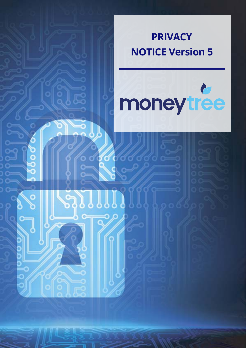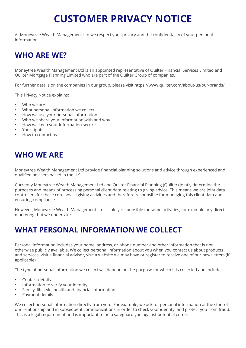# **CUSTOMER PRIVACY NOTICE**

At Moneytree Wealth Management Ltd we respect your privacy and the confidentiality of your personal information.

# **WHO ARE WE?**

Moneytree Wealth Management Ltd is an appointed representative of Quilter Financial Services Limited and Quilter Mortgage Planning Limited who are part of the Quilter Group of companies.

For further details on the companies in our group, please visit https://www.quilter.com/about-us/our-brands/

This Privacy Notice explains:

- Who we are
- What personal information we collect
- How we use your personal information
- Who we share your information with and why
- How we keep your information secure
- Your rights
- How to contact us

### **WHO WE ARE**

Moneytree Wealth Management Ltd provide financial planning solutions and advice through experienced and qualified advisers based in the UK.

Currently Moneytree Wealth Management Ltd and Quilter Financial Planning (Quilter) jointly determine the purposes and means of processing personal client data relating to giving advice. This means we are joint data controllers for these core advice giving activities and therefore responsible for managing this client data and ensuring compliance.

However, Moneytree Wealth Management Ltd is solely responsible for some activities, for example any direct marketing that we undertake.

### **WHAT PERSONAL INFORMATION WE COLLECT**

Personal information includes your name, address, or phone number and other information that is not otherwise publicly available. We collect personal information about you when you contact us about products and services, visit a financial advisor, visit a website we may have or register to receive one of our newsletters (if applicable).

The type of personal information we collect will depend on the purpose for which it is collected and includes:

- Contact details
- Information to verify your identity
- Family, lifestyle, health and financial information
- Payment details

We collect personal information directly from you. For example, we ask for personal information at the start of our relationship and in subsequent communications in order to check your identity, and protect you from fraud. This is a legal requirement and is important to help safeguard you against potential crime.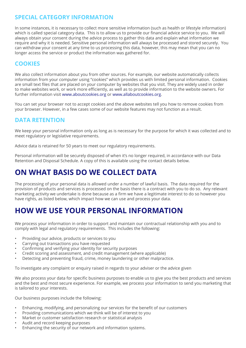### **SPECIAL CATEGORY INFORMATION**

In some instances, it is necessary to collect more sensitive information (such as health or lifestyle information) which is called special category data. This is to allow us to provide our financial advice service to you. We will always obtain your consent during the advice process to gather this data and explain what information we require and why it is needed. Sensitive personal information will always be processed and stored securely. You can withdraw your consent at any time to us processing this data, however, this may mean that you can no longer access the service or product the information was gathered for.

### **COOKIES**

We also collect information about you from other sources. For example, our website automatically collects information from your computer using "cookies" which provides us with limited personal information. Cookies are small text files that are placed on your computer by websites that you visit. They are widely used in order to make websites work, or work more efficiently, as well as to provide information to the website owners. For further information visit www.aboutcookies.org or www.allaboutcookies.org.

You can set your browser not to accept cookies and the above websites tell you how to remove cookies from your browser. However, in a few cases some of our website features may not function as a result.

### **DATA RETENTION**

We keep your personal information only as long as is necessary for the purpose for which it was collected and to meet regulatory or legislative requirements.

Advice data is retained for 50 years to meet our regulatory requirements.

Personal information will be securely disposed of when it's no longer required, in accordance with our Data Retention and Disposal Schedule. A copy of this is available using the contact details below.

### **ON WHAT BASIS DO WE COLLECT DATA**

The processing of your personal data is allowed under a number of lawful basis. The data required for the provision of products and services is processed on the basis there is a contract with you to do so. Any relevant marketing activity we undertake is done because as a firm we have a legitimate interest to do so however you have rights, as listed below, which impact how we can use and process your data.

### **HOW WE USE YOUR PERSONAL INFORMATION**

We process your information in order to support and maintain our contractual relationship with you and to comply with legal and regulatory requirements. This includes the following:

- Providing our advice, products or services to you
- Carrying out transactions you have requested
- Confirming and verifying your identity for security purposes
- Credit scoring and assessment, and credit management (where applicable)
- Detecting and preventing fraud, crime, money laundering or other malpractice.

To investigate any complaint or enquiry raised in regards to your adviser or the advice given

We also process your data for specific business purposes to enable us to give you the best products and services and the best and most secure experience. For example, we process your information to send you marketing that is tailored to your interests.

Our business purposes include the following:

- Enhancing, modifying, and personalizing our services for the benefit of our customers
- Providing communications which we think will be of interest to you
- Market or customer satisfaction research or statistical analysis
- Audit and record keeping purposes
- Enhancing the security of our network and information systems.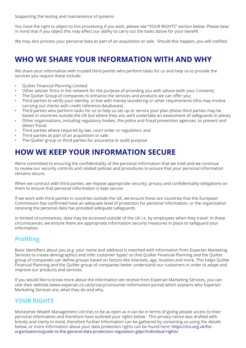Supporting the testing and maintenance of systems

You have the right to object to this processing if you wish, please see "YOUR RIGHTS" section below. Please bear in mind that if you object this may affect our ability to carry out the tasks above for your benefit

We may also process your personal data as part of an acquisition or sale. Should this happen, you will notified

# **WHO WE SHARE YOUR INFORMATION WITH AND WHY**

We share your information with trusted third parties who perform tasks for us and help us to provide the services you require these include:

- Quilter Financial Planning Limited;
- Other adviser firms in the network for the purpose of providing you with advice (with your Consent);
- The Quilter Group of companies to enhance the services and products we can offer you;
- Third parties to verify your identity, in line with money laundering or other requirements (this may involve carrying out checks with credit reference databases);
- Third parties who perform tasks for us to help us set up or service your plan (these third parties may be based in countries outside the UK but where they are, we'll undertake an assessment of safeguards in place);
- Other organisations, including regulatory bodies, the police and fraud prevention agencies, to prevent and detect fraud;
- Third parties where required by law, court order or regulation; and
- Third parties as part of an acquisition or sale.
- The Quilter group or third parties for assurance or audit purpose

### **HOW WE KEEP YOUR INFORMATION SECURE**

We're committed to ensuring the confidentiality of the personal information that we hold and we continue to review our security controls and related policies and procedures to ensure that your personal information remains secure.

When we contract with third parties, we impose appropriate security, privacy and confidentiality obligations on them to ensure that personal information is kept secure.

If we work with third parties in countries outside the UK, we ensure these are countries that the European Commission has confirmed have an adequate level of protection for personal information, or the organisation receiving the personal data has provided adequate safeguards.

In limited circumstances, data may be accessed outside of the UK i.e. by employees when they travel. In these circumstances, we ensure there are appropriate information security measures in place to safeguard your information.

#### **Profiling**

Basic identifiers about you (e.g. your name and address) is matched with information from Experian Marketing Services to create demographics and infer customer 'types' so that Quilter Financial Planning and the Quilter group of companies can define groups based on factors like interests, age, location and more. This helps Quilter Financial Planning and the Quilter group of companies better understand our customers in order to adapt and improve our products and services.

If you would like to know more about the information we receive from Experian Marketing Services, you can visit their website (www.experian.co.uk/privacy/consumer-information-portal) which explains who Experian Marketing Services are, what they do and why.

#### **YOUR RIGHTS**

Moneytree Wealth Management Ltd tries to be as open as it can be in terms of giving people access to their personal information and therefore have outlined your rights below. This privacy notice was drafted with brevity and clarity in mind, therefore further information can be gathered by contacting us using the details below, or more information about your data protection rights can be found here: https://ico.org.uk/fororganisations/guide-to-the-general-data-protection-regulation-gdpr/individual-rights/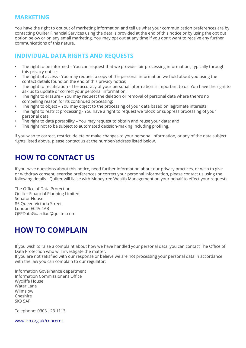### **MARKETING**

You have the right to opt out of marketing information and tell us what your communication preferences are by contacting Quilter Financial Services using the details provided at the end of this notice or by using the opt out option below or on any email marketing. You may opt out at any time if you don't want to receive any further communications of this nature.

### **INDIVIDUAL DATA RIGHTS AND REQUESTS**

- The right to be informed You can request that we provide 'fair processing information', typically through this privacy notice;
- The right of access You may request a copy of the personal information we hold about you using the contact details found on the end of this privacy notice;
- The right to rectification The accuracy of your personal information is important to us. You have the right to ask us to update or correct your personal information;
- The right to erasure You may request the deletion or removal of personal data where there's no compelling reason for its continued processing;
- The right to object You may object to the processing of your data based on legitimate interests;
- The right to restrict processing You have a right to request we 'block' or suppress processing of your personal data;
- The right to data portability You may request to obtain and reuse your data; and
- The right not to be subject to automated decision-making including profiling.

If you wish to correct, restrict, delete or make changes to your personal information, or any of the data subject rights listed above, please contact us at the number/address listed below.

# **HOW TO CONTACT US**

If you have questions about this notice, need further information about our privacy practices, or wish to give or withdraw consent, exercise preferences or correct your personal information, please contact us using the following details. Quilter will liaise with Moneytree Wealth Management on your behalf to effect your requests.

The Office of Data Protection Quilter Financial Planning Limited Senator House 85 Queen Victoria Street London EC4V 4AB QFPDataGuardian@quilter.com

# **HOW TO COMPLAIN**

If you wish to raise a complaint about how we have handled your personal data, you can contact The Office of Data Protection who will investigate the matter.

If you are not satisfied with our response or believe we are not processing your personal data in accordance with the law you can complain to our regulator:

Information Governance department Information Commissioner's Office Wycliffe House Water Lane Wilmslow Cheshire SK9 5AF

Telephone: 0303 123 1113

www.ico.org.uk/concerns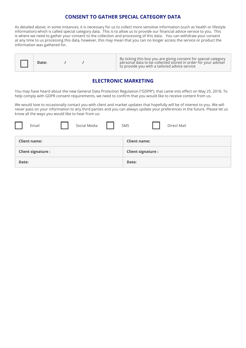#### **CONSENT TO GATHER SPECIAL CATEGORY DATA**

As detailed above, in some instances, it is necessary for us to collect more sensitive information (such as health or lifestyle information) which is called special category data. This is to allow us to provide our financial advice service to you. This is where we need to gather your consent to the collection and processing of this data. You can withdraw your consent at any time to us processing this data, however, this may mean that you can no longer access the service or product the information was gathered for.

#### **ELECTRONIC MARKETING**

You may have heard about the new General Data Protection Regulation ("GDPR"), that came into effect on May 25, 2018. To help comply with GDPR consent requirements, we need to confirm that you would like to receive content from us.

We would love to occasionally contact you with client and market updates that hopefully will be of interest to you. We will never pass on your information to any third parties and you can always update your preferences in the future. Please let us know all the ways you would like to hear from us:

| Email                    | Social Media | Direct Mail<br>SMS       |
|--------------------------|--------------|--------------------------|
| <b>Client name:</b>      |              | <b>Client name:</b>      |
| <b>Client signature:</b> |              | <b>Client signature:</b> |
| Date:                    |              | Date:                    |